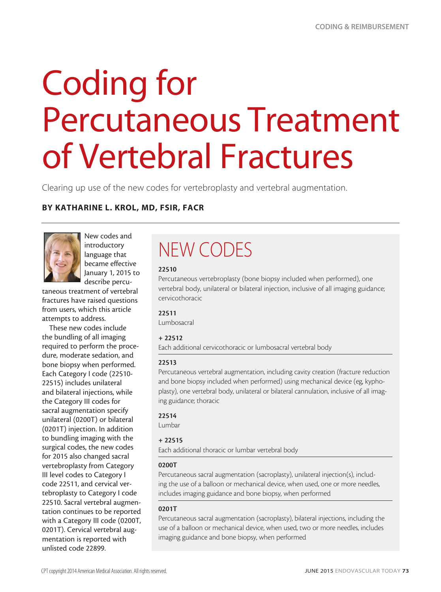# Coding for Percutaneous Treatment of Vertebral Fractures

Clearing up use of the new codes for vertebroplasty and vertebral augmentation.

#### BY KATHARINE L. KROL, MD, FSIR, FACR



New codes and introductory language that became effective January 1, 2015 to describe percu-

taneous treatment of vertebral fractures have raised questions from users, which this article attempts to address.

These new codes include the bundling of all imaging required to perform the procedure, moderate sedation, and bone biopsy when performed. Each Category I code (22510- 22515) includes unilateral and bilateral injections, while the Category III codes for sacral augmentation specify unilateral (0200T) or bilateral (0201T) injection. In addition to bundling imaging with the surgical codes, the new codes for 2015 also changed sacral vertebroplasty from Category III level codes to Category I code 22511, and cervical vertebroplasty to Category I code 22510. Sacral vertebral augmentation continues to be reported with a Category III code (0200T, 0201T). Cervical vertebral augmentation is reported with unlisted code 22899.

## NEW CODES

#### 22510

Percutaneous vertebroplasty (bone biopsy included when performed), one vertebral body, unilateral or bilateral injection, inclusive of all imaging guidance; cervicothoracic

#### 22511

Lumbosacral

#### + 22512

Each additional cervicothoracic or lumbosacral vertebral body

#### 22513

Percutaneous vertebral augmentation, including cavity creation (fracture reduction and bone biopsy included when performed) using mechanical device (eg, kyphoplasty), one vertebral body, unilateral or bilateral cannulation, inclusive of all imaging guidance; thoracic

#### 22514

Lumbar

#### + 22515

Each additional thoracic or lumbar vertebral body

#### 0200T

Percutaneous sacral augmentation (sacroplasty), unilateral injection(s), including the use of a balloon or mechanical device, when used, one or more needles, includes imaging guidance and bone biopsy, when performed

#### 0201T

Percutaneous sacral augmentation (sacroplasty), bilateral injections, including the use of a balloon or mechanical device, when used, two or more needles, includes imaging guidance and bone biopsy, when performed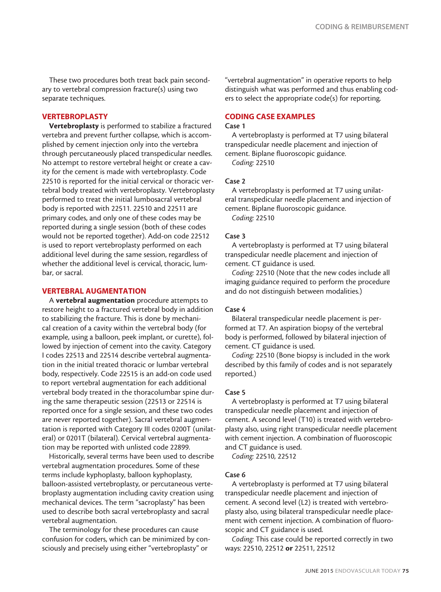These two procedures both treat back pain secondary to vertebral compression fracture(s) using two separate techniques.

#### VERTEBROPLASTY

Vertebroplasty is performed to stabilize a fractured vertebra and prevent further collapse, which is accomplished by cement injection only into the vertebra through percutaneously placed transpedicular needles. No attempt to restore vertebral height or create a cavity for the cement is made with vertebroplasty. Code 22510 is reported for the initial cervical or thoracic vertebral body treated with vertebroplasty. Vertebroplasty performed to treat the initial lumbosacral vertebral body is reported with 22511. 22510 and 22511 are primary codes, and only one of these codes may be reported during a single session (both of these codes would not be reported together). Add-on code 22512 is used to report vertebroplasty performed on each additional level during the same session, regardless of whether the additional level is cervical, thoracic, lumbar, or sacral.

#### VERTEBRAL AUGMENTATION

A vertebral augmentation procedure attempts to restore height to a fractured vertebral body in addition to stabilizing the fracture. This is done by mechanical creation of a cavity within the vertebral body (for example, using a balloon, peek implant, or curette), followed by injection of cement into the cavity. Category I codes 22513 and 22514 describe vertebral augmentation in the initial treated thoracic or lumbar vertebral body, respectively. Code 22515 is an add-on code used to report vertebral augmentation for each additional vertebral body treated in the thoracolumbar spine during the same therapeutic session (22513 or 22514 is reported once for a single session, and these two codes are never reported together). Sacral vertebral augmentation is reported with Category III codes 0200T (unilateral) or 0201T (bilateral). Cervical vertebral augmentation may be reported with unlisted code 22899.

Historically, several terms have been used to describe vertebral augmentation procedures. Some of these terms include kyphoplasty, balloon kyphoplasty, balloon-assisted vertebroplasty, or percutaneous vertebroplasty augmentation including cavity creation using mechanical devices. The term "sacroplasty" has been used to describe both sacral vertebroplasty and sacral vertebral augmentation.

The terminology for these procedures can cause confusion for coders, which can be minimized by consciously and precisely using either "vertebroplasty" or

"vertebral augmentation" in operative reports to help distinguish what was performed and thus enabling coders to select the appropriate code(s) for reporting.

#### CODING CASE EXAMPLES

#### Case 1

A vertebroplasty is performed at T7 using bilateral transpedicular needle placement and injection of cement. Biplane fluoroscopic guidance.

*Coding:* 22510

#### Case 2

A vertebroplasty is performed at T7 using unilateral transpedicular needle placement and injection of cement. Biplane fluoroscopic guidance. *Coding:* 22510

#### Case 3

A vertebroplasty is performed at T7 using bilateral transpedicular needle placement and injection of cement. CT guidance is used.

*Coding:* 22510 (Note that the new codes include all imaging guidance required to perform the procedure and do not distinguish between modalities.)

#### Case 4

Bilateral transpedicular needle placement is performed at T7. An aspiration biopsy of the vertebral body is performed, followed by bilateral injection of cement. CT guidance is used.

*Coding:* 22510 (Bone biopsy is included in the work described by this family of codes and is not separately reported.)

#### Case 5

A vertebroplasty is performed at T7 using bilateral transpedicular needle placement and injection of cement. A second level (T10) is treated with vertebroplasty also, using right transpedicular needle placement with cement injection. A combination of fluoroscopic and CT guidance is used.

*Coding:* 22510, 22512

#### Case 6

A vertebroplasty is performed at T7 using bilateral transpedicular needle placement and injection of cement. A second level (L2) is treated with vertebroplasty also, using bilateral transpedicular needle placement with cement injection. A combination of fluoroscopic and CT guidance is used.

*Coding:* This case could be reported correctly in two ways: 22510, 22512 or 22511, 22512